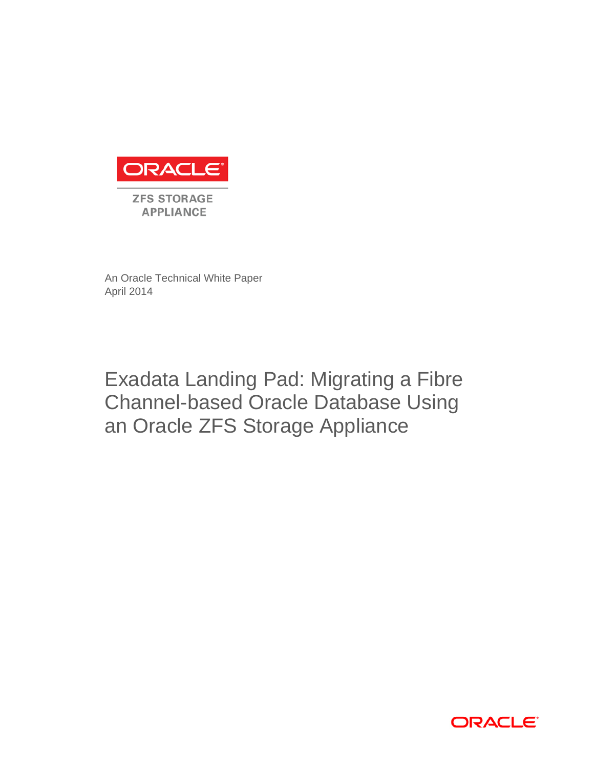

An Oracle Technical White Paper April 2014

# Exadata Landing Pad: Migrating a Fibre Channel-based Oracle Database Using an Oracle ZFS Storage Appliance

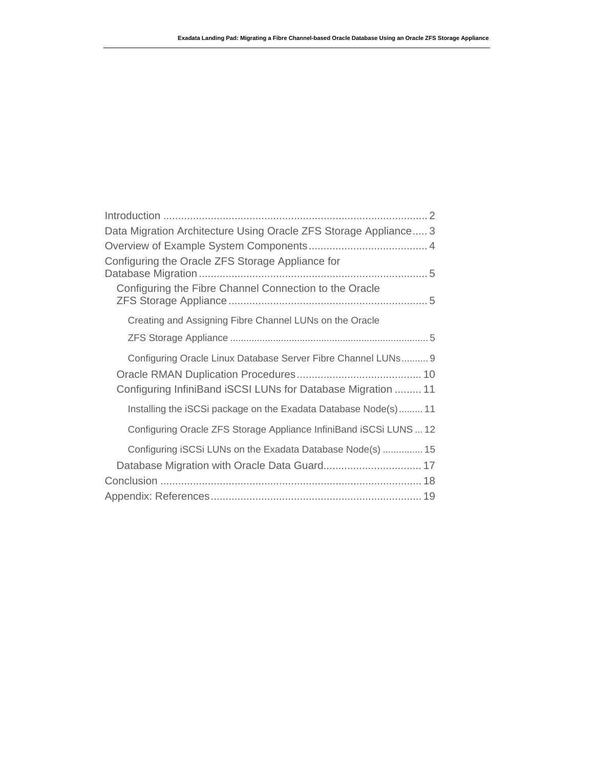| Data Migration Architecture Using Oracle ZFS Storage Appliance 3   |  |
|--------------------------------------------------------------------|--|
|                                                                    |  |
| Configuring the Oracle ZFS Storage Appliance for                   |  |
| Configuring the Fibre Channel Connection to the Oracle             |  |
| Creating and Assigning Fibre Channel LUNs on the Oracle            |  |
|                                                                    |  |
| Configuring Oracle Linux Database Server Fibre Channel LUNs 9      |  |
| Configuring InfiniBand iSCSI LUNs for Database Migration  11       |  |
| Installing the iSCSi package on the Exadata Database Node(s) 11    |  |
| Configuring Oracle ZFS Storage Appliance InfiniBand iSCSi LUNS  12 |  |
| Configuring iSCSi LUNs on the Exadata Database Node(s)  15         |  |
|                                                                    |  |
|                                                                    |  |
|                                                                    |  |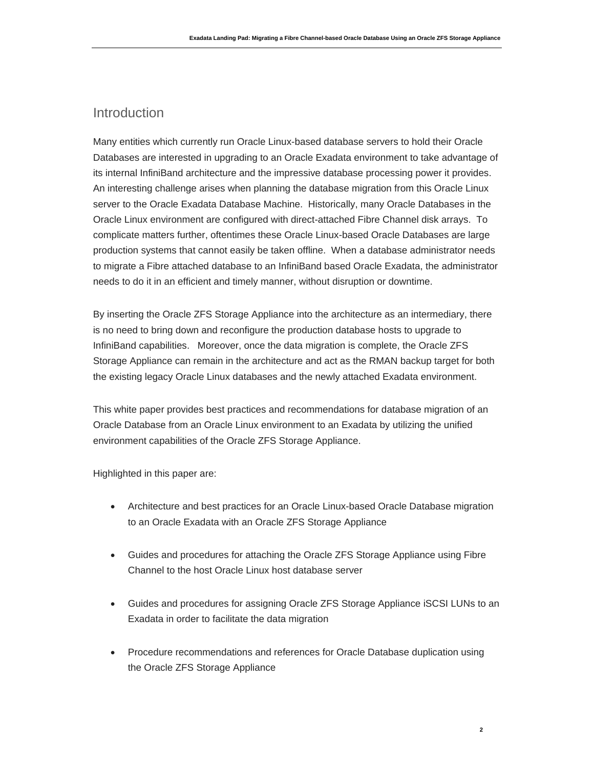# Introduction

Many entities which currently run Oracle Linux-based database servers to hold their Oracle Databases are interested in upgrading to an Oracle Exadata environment to take advantage of its internal InfiniBand architecture and the impressive database processing power it provides. An interesting challenge arises when planning the database migration from this Oracle Linux server to the Oracle Exadata Database Machine. Historically, many Oracle Databases in the Oracle Linux environment are configured with direct-attached Fibre Channel disk arrays. To complicate matters further, oftentimes these Oracle Linux-based Oracle Databases are large production systems that cannot easily be taken offline. When a database administrator needs to migrate a Fibre attached database to an InfiniBand based Oracle Exadata, the administrator needs to do it in an efficient and timely manner, without disruption or downtime.

By inserting the Oracle ZFS Storage Appliance into the architecture as an intermediary, there is no need to bring down and reconfigure the production database hosts to upgrade to InfiniBand capabilities. Moreover, once the data migration is complete, the Oracle ZFS Storage Appliance can remain in the architecture and act as the RMAN backup target for both the existing legacy Oracle Linux databases and the newly attached Exadata environment.

This white paper provides best practices and recommendations for database migration of an Oracle Database from an Oracle Linux environment to an Exadata by utilizing the unified environment capabilities of the Oracle ZFS Storage Appliance.

Highlighted in this paper are:

- Architecture and best practices for an Oracle Linux-based Oracle Database migration to an Oracle Exadata with an Oracle ZFS Storage Appliance
- Guides and procedures for attaching the Oracle ZFS Storage Appliance using Fibre Channel to the host Oracle Linux host database server
- Guides and procedures for assigning Oracle ZFS Storage Appliance iSCSI LUNs to an Exadata in order to facilitate the data migration
- Procedure recommendations and references for Oracle Database duplication using the Oracle ZFS Storage Appliance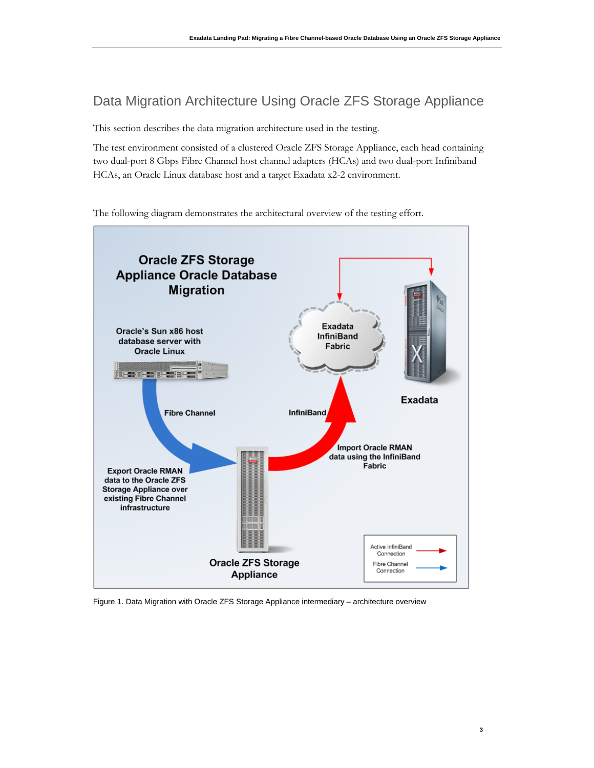# Data Migration Architecture Using Oracle ZFS Storage Appliance

This section describes the data migration architecture used in the testing.

The test environment consisted of a clustered Oracle ZFS Storage Appliance, each head containing two dual-port 8 Gbps Fibre Channel host channel adapters (HCAs) and two dual-port Infiniband HCAs, an Oracle Linux database host and a target Exadata x2-2 environment.

The following diagram demonstrates the architectural overview of the testing effort.



Figure 1. Data Migration with Oracle ZFS Storage Appliance intermediary – architecture overview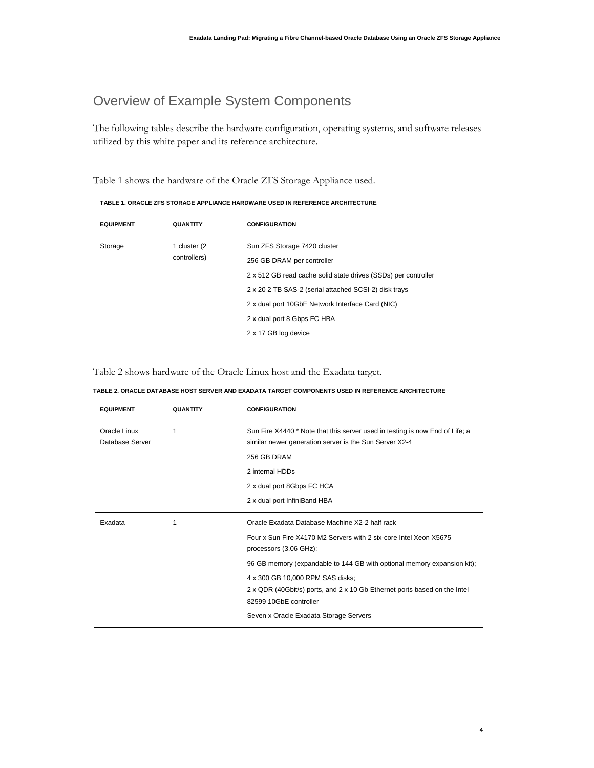# Overview of Example System Components

The following tables describe the hardware configuration, operating systems, and software releases utilized by this white paper and its reference architecture.

Table 1 shows the hardware of the Oracle ZFS Storage Appliance used.

| <b>EQUIPMENT</b> | <b>QUANTITY</b>              | <b>CONFIGURATION</b>                                           |
|------------------|------------------------------|----------------------------------------------------------------|
| Storage          | 1 cluster (2<br>controllers) | Sun ZFS Storage 7420 cluster                                   |
|                  |                              | 256 GB DRAM per controller                                     |
|                  |                              | 2 x 512 GB read cache solid state drives (SSDs) per controller |
|                  |                              | 2 x 20 2 TB SAS-2 (serial attached SCSI-2) disk trays          |
|                  |                              | 2 x dual port 10GbE Network Interface Card (NIC)               |
|                  |                              | 2 x dual port 8 Gbps FC HBA                                    |
|                  |                              | 2 x 17 GB log device                                           |
|                  |                              |                                                                |

**TABLE 1. ORACLE ZFS STORAGE APPLIANCE HARDWARE USED IN REFERENCE ARCHITECTURE**

Table 2 shows hardware of the Oracle Linux host and the Exadata target.

| <b>EQUIPMENT</b>                | <b>QUANTITY</b> | <b>CONFIGURATION</b>                                                                                                                                                                                                                                                                                                                                                                                          |
|---------------------------------|-----------------|---------------------------------------------------------------------------------------------------------------------------------------------------------------------------------------------------------------------------------------------------------------------------------------------------------------------------------------------------------------------------------------------------------------|
| Oracle Linux<br>Database Server | 1               | Sun Fire X4440 * Note that this server used in testing is now End of Life; a<br>similar newer generation server is the Sun Server X2-4<br>256 GB DRAM<br>2 internal HDDs<br>2 x dual port 8Gbps FC HCA<br>2 x dual port InfiniBand HBA                                                                                                                                                                        |
| Exadata                         | 1               | Oracle Exadata Database Machine X2-2 half rack<br>Four x Sun Fire X4170 M2 Servers with 2 six-core Intel Xeon X5675<br>processors (3.06 GHz);<br>96 GB memory (expandable to 144 GB with optional memory expansion kit);<br>4 x 300 GB 10,000 RPM SAS disks;<br>2 x QDR (40Gbit/s) ports, and 2 x 10 Gb Ethernet ports based on the Intel<br>82599 10GbE controller<br>Seven x Oracle Exadata Storage Servers |

**TABLE 2. ORACLE DATABASE HOST SERVER AND EXADATA TARGET COMPONENTS USED IN REFERENCE ARCHITECTURE**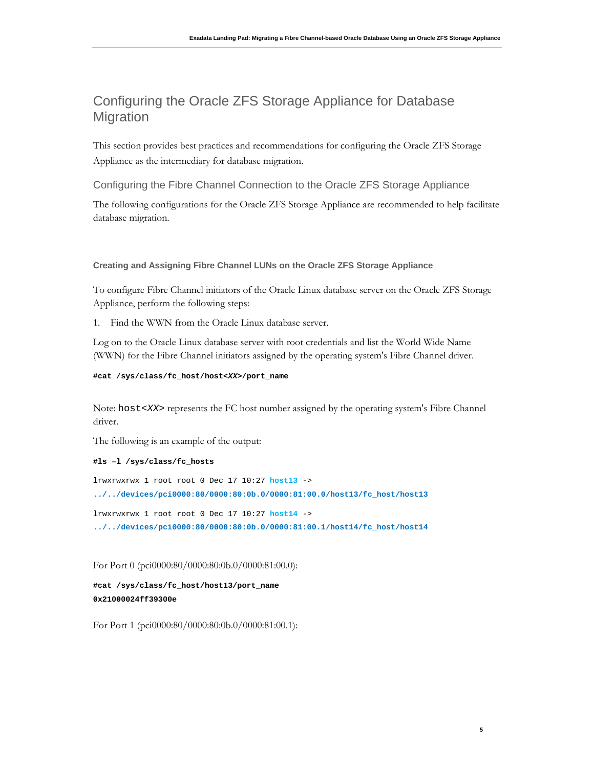# Configuring the Oracle ZFS Storage Appliance for Database **Migration**

This section provides best practices and recommendations for configuring the Oracle ZFS Storage Appliance as the intermediary for database migration.

Configuring the Fibre Channel Connection to the Oracle ZFS Storage Appliance

The following configurations for the Oracle ZFS Storage Appliance are recommended to help facilitate database migration.

## **Creating and Assigning Fibre Channel LUNs on the Oracle ZFS Storage Appliance**

To configure Fibre Channel initiators of the Oracle Linux database server on the Oracle ZFS Storage Appliance, perform the following steps:

1. Find the WWN from the Oracle Linux database server.

Log on to the Oracle Linux database server with root credentials and list the World Wide Name (WWN) for the Fibre Channel initiators assigned by the operating system's Fibre Channel driver.

```
#cat /sys/class/fc_host/host<XX>/port_name
```
Note: host<*XX*> represents the FC host number assigned by the operating system's Fibre Channel driver.

The following is an example of the output:

#### **#ls –l /sys/class/fc\_hosts**

lrwxrwxrwx 1 root root 0 Dec 17 10:27 **host13** -> **../../devices/pci0000:80/0000:80:0b.0/0000:81:00.0/host13/fc\_host/host13** lrwxrwxrwx 1 root root 0 Dec 17 10:27 **host14** -> **../../devices/pci0000:80/0000:80:0b.0/0000:81:00.1/host14/fc\_host/host14**

For Port 0 (pci0000:80/0000:80:0b.0/0000:81:00.0):

**#cat /sys/class/fc\_host/host13/port\_name 0x21000024ff39300e** 

For Port 1 (pci0000:80/0000:80:0b.0/0000:81:00.1):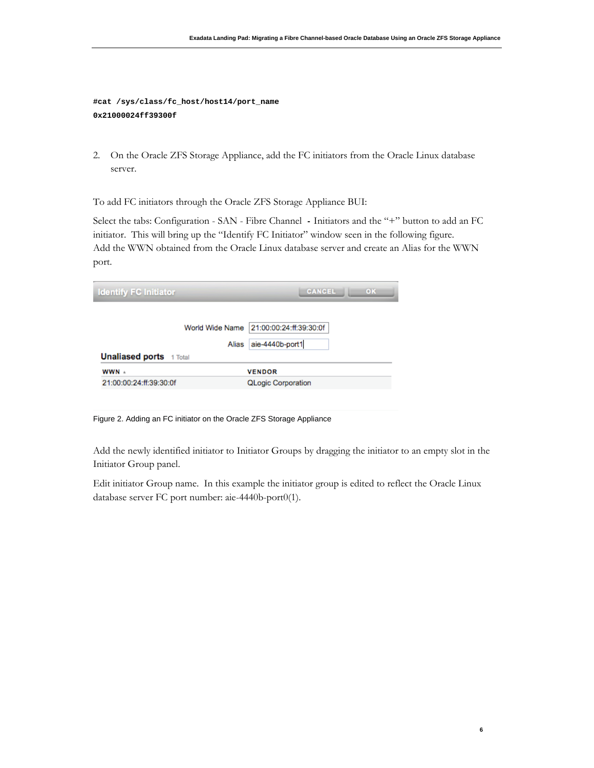**#cat /sys/class/fc\_host/host14/port\_name 0x21000024ff39300f** 

2. On the Oracle ZFS Storage Appliance, add the FC initiators from the Oracle Linux database server.

To add FC initiators through the Oracle ZFS Storage Appliance BUI:

Select the tabs: Configuration - SAN - Fibre Channel **-** Initiators and the "+" button to add an FC initiator. This will bring up the "Identify FC Initiator" window seen in the following figure. Add the WWN obtained from the Oracle Linux database server and create an Alias for the WWN port.

| <b>Identify FC Initiator</b>   | <b>CANCEL</b><br>OK       |
|--------------------------------|---------------------------|
| World Wide Name                | 21:00:00:24:ff:39:30:0f   |
| Alias                          | aie-4440b-port1           |
| <b>Unaliased ports</b> 1 Total |                           |
| WWN +                          | <b>VENDOR</b>             |
| 21:00:00:24:ff:39:30:0f        | <b>QLogic Corporation</b> |

Figure 2. Adding an FC initiator on the Oracle ZFS Storage Appliance

Add the newly identified initiator to Initiator Groups by dragging the initiator to an empty slot in the Initiator Group panel.

Edit initiator Group name. In this example the initiator group is edited to reflect the Oracle Linux database server FC port number: aie-4440b-port0(1).

**6**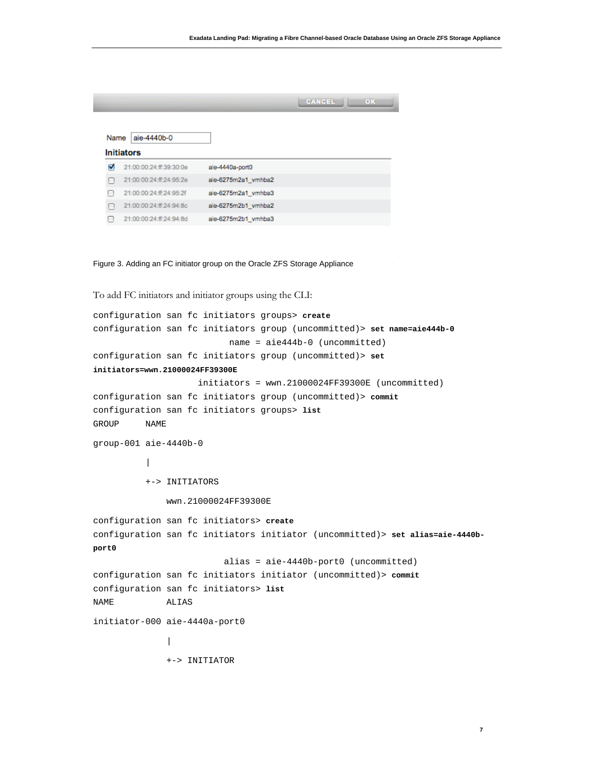|      |                         |                     | CANCEL<br>OK |
|------|-------------------------|---------------------|--------------|
|      |                         |                     |              |
| Name | aie-4440b-0             |                     |              |
|      | <b>Initiators</b>       |                     |              |
| ⊽    | 21:00:00:24:ff:39:30:0e | aie-4440a-port0     |              |
|      | 21:00:00:24:ff:24:95:2e | aie-6275m2a1 vmhba2 |              |
|      | 21:00:00:24:ff:24:95:2f | aie-6275m2a1 vmhba3 |              |
| m    | 21:00:00:24:ff:24:94:8c | aie-6275m2b1 vmhba2 |              |
|      | 21:00:00:24:ff:24:94:8d | aie-6275m2b1_vmhba3 |              |

Figure 3. Adding an FC initiator group on the Oracle ZFS Storage Appliance

```
To add FC initiators and initiator groups using the CLI:
configuration san fc initiators groups> create
configuration san fc initiators group (uncommitted)> set name=aie444b-0
                           name = aie444b-0 (uncommitted)
configuration san fc initiators group (uncommitted)> set 
initiators=wwn.21000024FF39300E
                     initiators = wwn.21000024FF39300E (uncommitted)
configuration san fc initiators group (uncommitted)> commit
configuration san fc initiators groups> list
GROUP NAME
group-001 aie-4440b-0
 |
           +-> INITIATORS
               wwn.21000024FF39300E
configuration san fc initiators> create
configuration san fc initiators initiator (uncommitted)> set alias=aie-4440b-
port0
                          alias = aie-4440b-port0 (uncommitted)
configuration san fc initiators initiator (uncommitted)> commit
configuration san fc initiators> list
NAME ALIAS
initiator-000 aie-4440a-port0
 |
               +-> INITIATOR
```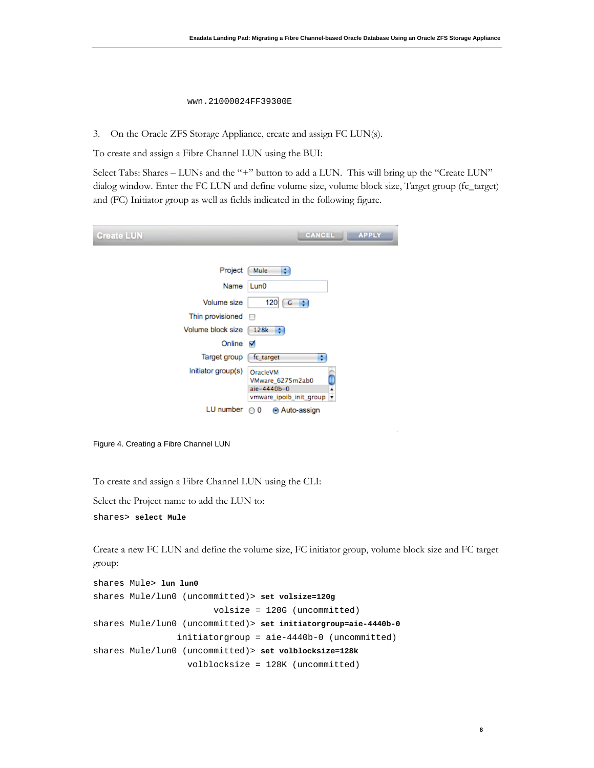# wwn.21000024FF39300E

3. On the Oracle ZFS Storage Appliance, create and assign FC LUN(s).

To create and assign a Fibre Channel LUN using the BUI:

Select Tabs: Shares – LUNs and the "+" button to add a LUN. This will bring up the "Create LUN" dialog window. Enter the FC LUN and define volume size, volume block size, Target group (fc\_target) and (FC) Initiator group as well as fields indicated in the following figure.

| <b>Create LUN</b>                     | CANCEL<br><b>APPLY</b>                                                                            |
|---------------------------------------|---------------------------------------------------------------------------------------------------|
|                                       |                                                                                                   |
| Project                               | Mule<br>÷                                                                                         |
| Name                                  | Lun0                                                                                              |
| Volume size                           | 120<br>$G$ $\div$                                                                                 |
| Thin provisioned $\qquad \qquad \Box$ |                                                                                                   |
| Volume block size                     | 128k<br>H                                                                                         |
| Online                                | ⊽                                                                                                 |
| Target group                          | fc_target<br>÷                                                                                    |
| Initiator group(s)                    | OracleVM<br>VMware_6275m2ab0<br>aie-4440b-0<br>vmware ipoib init group<br>$\overline{\mathbf{r}}$ |
| LU number                             | ⊙ 0<br>Auto-assign                                                                                |

Figure 4. Creating a Fibre Channel LUN

To create and assign a Fibre Channel LUN using the CLI:

Select the Project name to add the LUN to:

```
shares> select Mule
```
Create a new FC LUN and define the volume size, FC initiator group, volume block size and FC target group:

```
shares Mule> lun lun0
shares Mule/lun0 (uncommitted)> set volsize=120g
                         volsize = 120G (uncommitted)
shares Mule/lun0 (uncommitted)> set initiatorgroup=aie-4440b-0
                 initiatorgroup = aie-4440b-0 (uncommitted)
shares Mule/lun0 (uncommitted)> set volblocksize=128k
                   volblocksize = 128K (uncommitted)
```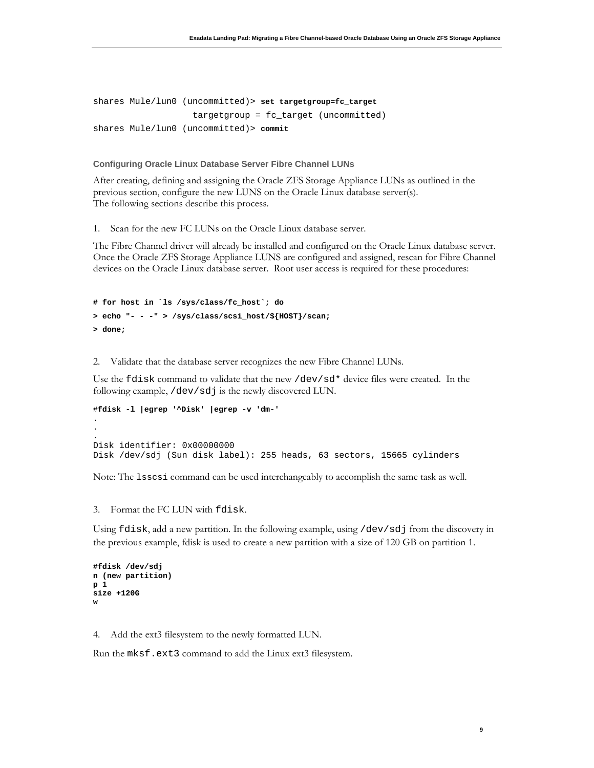```
shares Mule/lun0 (uncommitted)> set targetgroup=fc_target
                    targetgroup = fc_target (uncommitted)
shares Mule/lun0 (uncommitted)> commit
```
**Configuring Oracle Linux Database Server Fibre Channel LUNs** 

After creating, defining and assigning the Oracle ZFS Storage Appliance LUNs as outlined in the previous section, configure the new LUNS on the Oracle Linux database server(s). The following sections describe this process.

1. Scan for the new FC LUNs on the Oracle Linux database server.

The Fibre Channel driver will already be installed and configured on the Oracle Linux database server. Once the Oracle ZFS Storage Appliance LUNS are configured and assigned, rescan for Fibre Channel devices on the Oracle Linux database server. Root user access is required for these procedures:

```
# for host in `ls /sys/class/fc_host`; do
> echo "- - -" > /sys/class/scsi_host/${HOST}/scan;
> done;
```
2. Validate that the database server recognizes the new Fibre Channel LUNs.

Use the fdisk command to validate that the new /dev/sd\* device files were created. In the following example, /dev/sdj is the newly discovered LUN.

```
#fdisk -l |egrep '^Disk' |egrep -v 'dm-'
.
.
.
Disk identifier: 0x00000000
Disk /dev/sdj (Sun disk label): 255 heads, 63 sectors, 15665 cylinders
```
Note: The lsscsi command can be used interchangeably to accomplish the same task as well.

3. Format the FC LUN with fdisk.

Using fdisk, add a new partition. In the following example, using /dev/sdj from the discovery in the previous example, fdisk is used to create a new partition with a size of 120 GB on partition 1.

**9**

```
#fdisk /dev/sdj
n (new partition)
p 1
size +120G
w
```
4. Add the ext3 filesystem to the newly formatted LUN.

Run the mksf.ext3 command to add the Linux ext3 filesystem.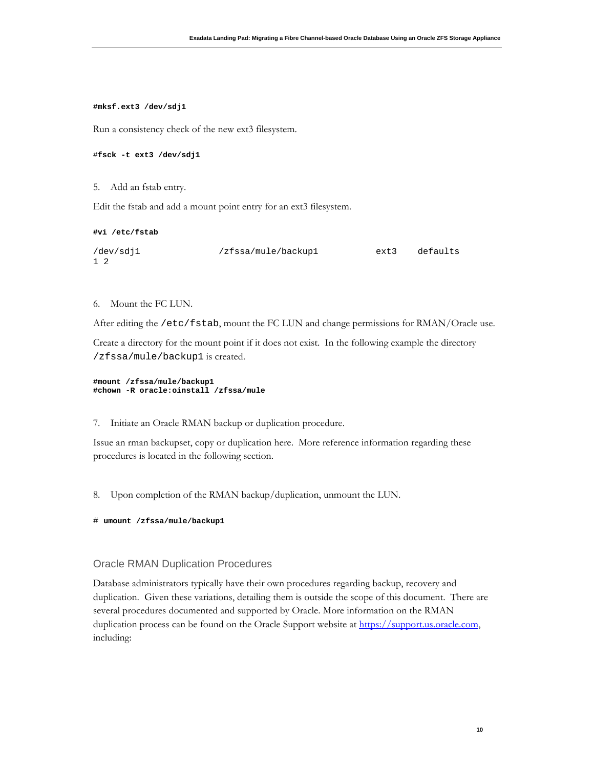### **#mksf.ext3 /dev/sdj1**

Run a consistency check of the new ext3 filesystem.

# #**fsck -t ext3 /dev/sdj1**

### 5. Add an fstab entry.

Edit the fstab and add a mount point entry for an ext3 filesystem.

#### **#vi /etc/fstab**

```
/dev/sdj1 /zfssa/mule/backup1 ext3 defaults
1 2
```
### 6. Mount the FC LUN.

After editing the /etc/fstab, mount the FC LUN and change permissions for RMAN/Oracle use.

Create a directory for the mount point if it does not exist. In the following example the directory /zfssa/mule/backup1 is created.

```
#mount /zfssa/mule/backup1
#chown -R oracle:oinstall /zfssa/mule
```
7. Initiate an Oracle RMAN backup or duplication procedure.

Issue an rman backupset, copy or duplication here. More reference information regarding these procedures is located in the following section.

8. Upon completion of the RMAN backup/duplication, unmount the LUN.

```
# umount /zfssa/mule/backup1
```
# Oracle RMAN Duplication Procedures

Database administrators typically have their own procedures regarding backup, recovery and duplication. Given these variations, detailing them is outside the scope of this document. There are several procedures documented and supported by Oracle. More information on the RMAN duplication process can be found on the Oracle Support website at https://support.us.oracle.com, including: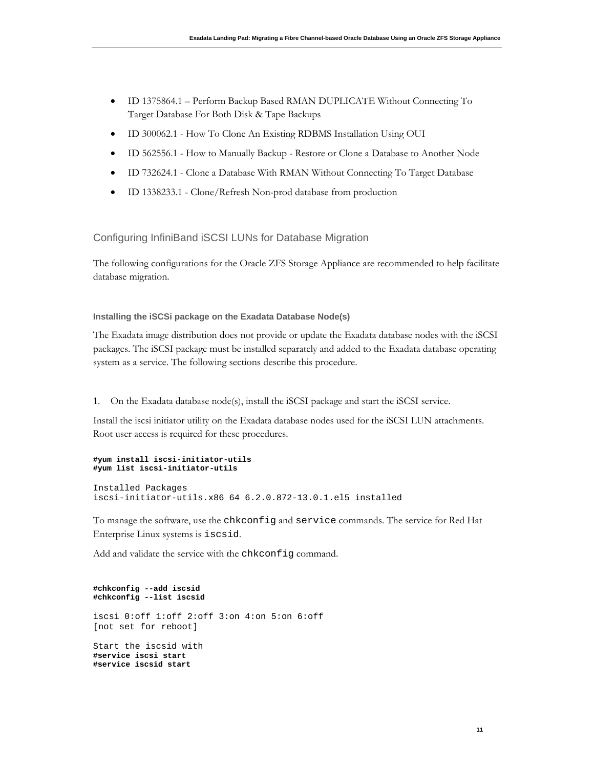- ID [1375864.1](https://support.oracle.com/epmos/faces/SearchDocDisplay?_adf.ctrl-state=bx9mujeax_9&_afrLoop=146645510893652) Perform Backup Based RMAN DUPLICATE Without Connecting To Target Database For Both Disk & Tape Backups
- ID 300062.1 How To Clone An Existing RDBMS Installation Using OUI
- ID 562556.1 How to Manually Backup Restore or Clone a Database to Another Node
- ID 732624.1 Clone a Database With RMAN Without Connecting To Target Database
- ID 1338233.1 Clone/Refresh Non-prod database from production

Configuring InfiniBand iSCSI LUNs for Database Migration

The following configurations for the Oracle ZFS Storage Appliance are recommended to help facilitate database migration.

## **Installing the iSCSi package on the Exadata Database Node(s)**

The Exadata image distribution does not provide or update the Exadata database nodes with the iSCSI packages. The iSCSI package must be installed separately and added to the Exadata database operating system as a service. The following sections describe this procedure.

1. On the Exadata database node(s), install the iSCSI package and start the iSCSI service.

Install the iscsi initiator utility on the Exadata database nodes used for the iSCSI LUN attachments. Root user access is required for these procedures.

#### **#yum install iscsi-initiator-utils #yum list iscsi-initiator-utils**

```
Installed Packages
iscsi-initiator-utils.x86_64 6.2.0.872-13.0.1.el5 installed
```
To manage the software, use the chkconfig and service commands. The service for Red Hat Enterprise Linux systems is iscsid.

Add and validate the service with the chkconfig command.

```
#chkconfig --add iscsid
#chkconfig --list iscsid
iscsi 0:off 1:off 2:off 3:on 4:on 5:on 6:off
[not set for reboot]
Start the iscsid with 
#service iscsi start
#service iscsid start
```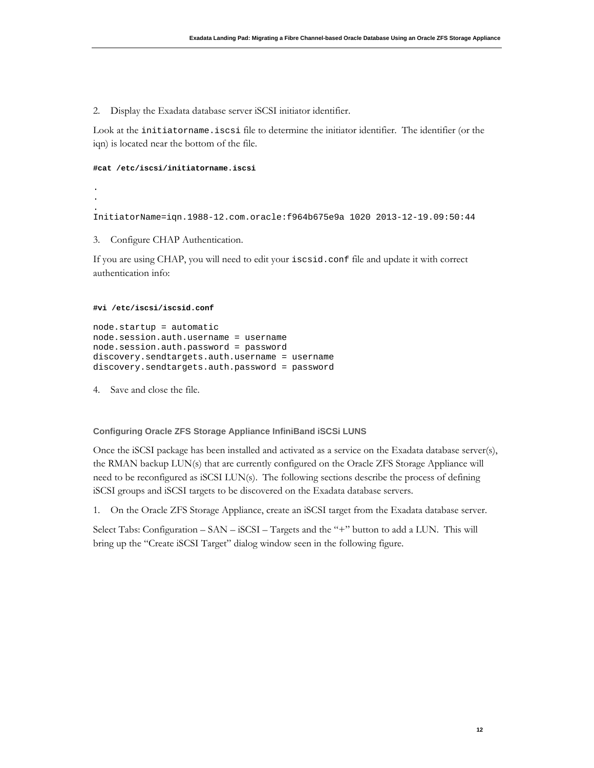2. Display the Exadata database server iSCSI initiator identifier.

Look at the initiatorname.iscsi file to determine the initiator identifier. The identifier (or the iqn) is located near the bottom of the file.

```
#cat /etc/iscsi/initiatorname.iscsi
```
. . . InitiatorName=iqn.1988-12.com.oracle:f964b675e9a 1020 2013-12-19.09:50:44

3. Configure CHAP Authentication.

If you are using CHAP, you will need to edit your iscsid.conf file and update it with correct authentication info:

### **#vi /etc/iscsi/iscsid.conf**

```
node.startup = automatic
node.session.auth.username = username
node.session.auth.password = password
discovery.sendtargets.auth.username = username
discovery.sendtargets.auth.password = password
```
4. Save and close the file.

### **Configuring Oracle ZFS Storage Appliance InfiniBand iSCSi LUNS**

Once the iSCSI package has been installed and activated as a service on the Exadata database server(s), the RMAN backup LUN(s) that are currently configured on the Oracle ZFS Storage Appliance will need to be reconfigured as iSCSI LUN(s). The following sections describe the process of defining iSCSI groups and iSCSI targets to be discovered on the Exadata database servers.

1. On the Oracle ZFS Storage Appliance, create an iSCSI target from the Exadata database server.

Select Tabs: Configuration – SAN – iSCSI – Targets and the "+" button to add a LUN. This will bring up the "Create iSCSI Target" dialog window seen in the following figure.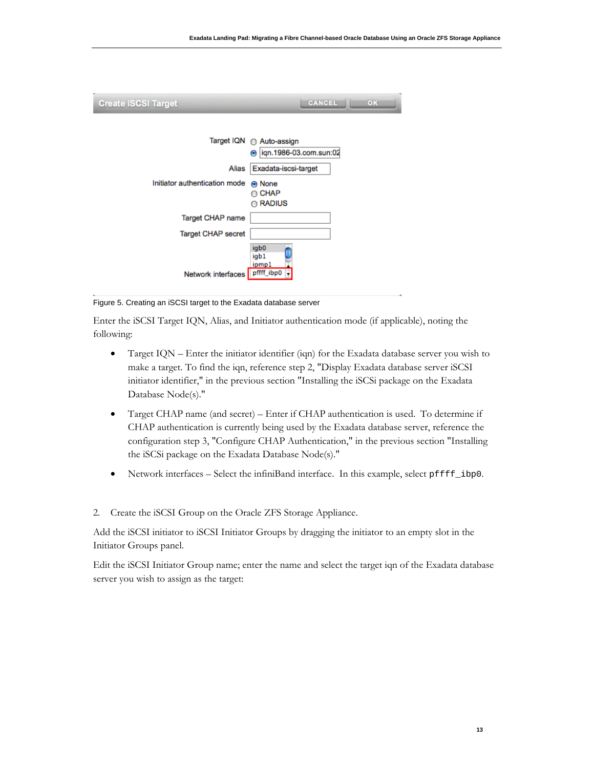| <b>Create iSCSI Target</b>    | CANCEL<br>OK                                                    |
|-------------------------------|-----------------------------------------------------------------|
|                               | Target IQN ( Auto-assign<br>ign.1986-03.com.sun:02<br>$\bullet$ |
| Alias                         | Exadata-iscsi-target                                            |
| Initiator authentication mode | <b>O</b> None<br><b>CHAP</b><br><b>RADIUS</b>                   |
| Target CHAP name              |                                                                 |
| Target CHAP secret            |                                                                 |
| Network interfaces pffff_ibp0 | igb0<br>igb1<br>ipmp1                                           |

Figure 5. Creating an iSCSI target to the Exadata database server

Enter the iSCSI Target IQN, Alias, and Initiator authentication mode (if applicable), noting the following:

- Target IQN Enter the initiator identifier (iqn) for the Exadata database server you wish to make a target. To find the iqn, reference step 2, "Display Exadata database server iSCSI initiator identifier," in the previous section "Installing the iSCSi package on the Exadata Database Node(s)."
- Target CHAP name (and secret) Enter if CHAP authentication is used. To determine if CHAP authentication is currently being used by the Exadata database server, reference the configuration step 3, "Configure CHAP Authentication," in the previous section "Installing the iSCSi package on the Exadata Database Node(s)."
- Network interfaces Select the infiniBand interface. In this example, select pffff\_ibp0.
- 2. Create the iSCSI Group on the Oracle ZFS Storage Appliance.

Add the iSCSI initiator to iSCSI Initiator Groups by dragging the initiator to an empty slot in the Initiator Groups panel.

Edit the iSCSI Initiator Group name; enter the name and select the target iqn of the Exadata database server you wish to assign as the target: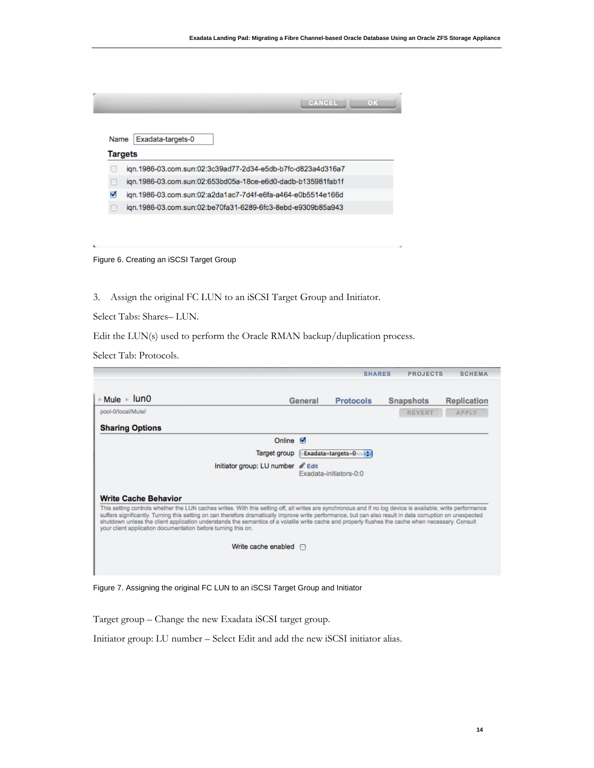|                | <b>CANCEL</b><br>OK                                         |
|----------------|-------------------------------------------------------------|
|                |                                                             |
| Name           | Exadata-targets-0                                           |
| <b>Targets</b> |                                                             |
|                | ign.1986-03.com.sun:02:3c39ad77-2d34-e5db-b7fc-d823a4d316a7 |
|                | ign.1986-03.com.sun:02:653bd05a-18ce-e6d0-dadb-b135981fab1f |
| M              | ign.1986-03.com.sun:02:a2da1ac7-7d4f-e6fa-a464-e0b5514e166d |
|                | ign.1986-03.com.sun:02:be70fa31-6289-6fc3-8ebd-e9309b85a943 |
|                |                                                             |

Figure 6. Creating an iSCSI Target Group

3. Assign the original FC LUN to an iSCSI Target Group and Initiator.

Select Tabs: Shares– LUN.

Edit the LUN(s) used to perform the Oracle RMAN backup/duplication process.

Select Tab: Protocols.

L

|                                                                                                                                                                                                                                                                                                                                                                                                                                                                                                                                                |                                   | <b>SHARES</b>    | <b>PROJECTS</b>  | <b>SCHEMA</b>      |  |
|------------------------------------------------------------------------------------------------------------------------------------------------------------------------------------------------------------------------------------------------------------------------------------------------------------------------------------------------------------------------------------------------------------------------------------------------------------------------------------------------------------------------------------------------|-----------------------------------|------------------|------------------|--------------------|--|
|                                                                                                                                                                                                                                                                                                                                                                                                                                                                                                                                                |                                   |                  |                  |                    |  |
| $\triangleright$ Mule $\triangleright$ 1un0                                                                                                                                                                                                                                                                                                                                                                                                                                                                                                    | General                           | <b>Protocols</b> | <b>Snapshots</b> | <b>Replication</b> |  |
| pool-0/local/Mule/                                                                                                                                                                                                                                                                                                                                                                                                                                                                                                                             |                                   |                  | <b>REVERT</b>    | <b>APPLY</b>       |  |
| <b>Sharing Options</b>                                                                                                                                                                                                                                                                                                                                                                                                                                                                                                                         |                                   |                  |                  |                    |  |
|                                                                                                                                                                                                                                                                                                                                                                                                                                                                                                                                                | Online $\blacksquare$             |                  |                  |                    |  |
| Target group<br>Exadata-targets-0<br>÷                                                                                                                                                                                                                                                                                                                                                                                                                                                                                                         |                                   |                  |                  |                    |  |
|                                                                                                                                                                                                                                                                                                                                                                                                                                                                                                                                                | Initiator group: LU number & Edit |                  |                  |                    |  |
| Exadata-initiators-0:0                                                                                                                                                                                                                                                                                                                                                                                                                                                                                                                         |                                   |                  |                  |                    |  |
|                                                                                                                                                                                                                                                                                                                                                                                                                                                                                                                                                |                                   |                  |                  |                    |  |
| <b>Write Cache Behavior</b>                                                                                                                                                                                                                                                                                                                                                                                                                                                                                                                    |                                   |                  |                  |                    |  |
| This setting controls whether the LUN caches writes. With this setting off, all writes are synchronous and if no log device is available, write performance<br>suffers significantly. Turning this setting on can therefore dramatically improve write performance, but can also result in data corruption on unexpected<br>shutdown unless the client application understands the semantics of a volatile write cache and properly flushes the cache when necessary. Consult<br>your client application documentation before turning this on. |                                   |                  |                  |                    |  |
| Write cache enabled $\Box$                                                                                                                                                                                                                                                                                                                                                                                                                                                                                                                     |                                   |                  |                  |                    |  |
|                                                                                                                                                                                                                                                                                                                                                                                                                                                                                                                                                |                                   |                  |                  |                    |  |
|                                                                                                                                                                                                                                                                                                                                                                                                                                                                                                                                                |                                   |                  |                  |                    |  |

Figure 7. Assigning the original FC LUN to an iSCSI Target Group and Initiator

Target group – Change the new Exadata iSCSI target group.

Initiator group: LU number – Select Edit and add the new iSCSI initiator alias.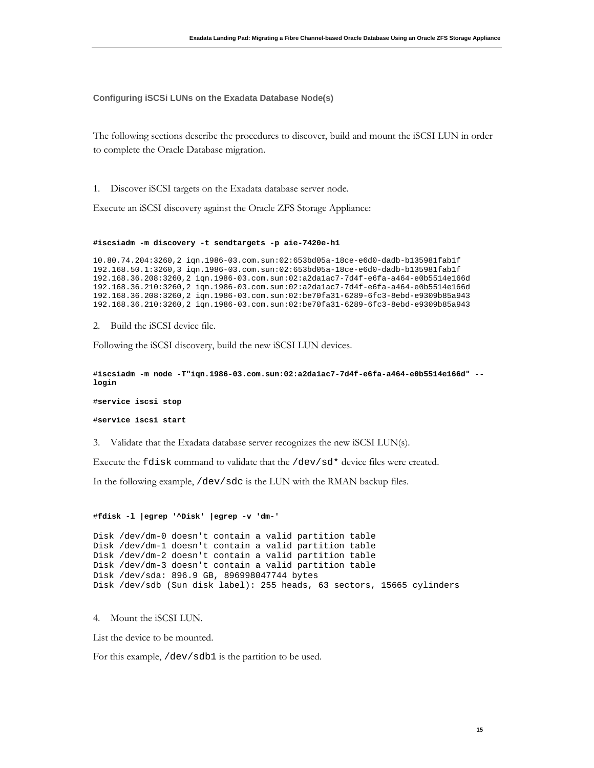**Configuring iSCSi LUNs on the Exadata Database Node(s)**

The following sections describe the procedures to discover, build and mount the iSCSI LUN in order to complete the Oracle Database migration.

1. Discover iSCSI targets on the Exadata database server node.

Execute an iSCSI discovery against the Oracle ZFS Storage Appliance:

#### **#iscsiadm -m discovery -t sendtargets -p aie-7420e-h1**

10.80.74.204:3260,2 iqn.1986-03.com.sun:02:653bd05a-18ce-e6d0-dadb-b135981fab1f 192.168.50.1:3260,3 iqn.1986-03.com.sun:02:653bd05a-18ce-e6d0-dadb-b135981fab1f 192.168.36.208:3260,2 iqn.1986-03.com.sun:02:a2da1ac7-7d4f-e6fa-a464-e0b5514e166d 192.168.36.210:3260,2 iqn.1986-03.com.sun:02:a2da1ac7-7d4f-e6fa-a464-e0b5514e166d 192.168.36.208:3260,2 iqn.1986-03.com.sun:02:be70fa31-6289-6fc3-8ebd-e9309b85a943 192.168.36.210:3260,2 iqn.1986-03.com.sun:02:be70fa31-6289-6fc3-8ebd-e9309b85a943

2. Build the iSCSI device file.

Following the iSCSI discovery, build the new iSCSI LUN devices.

#**iscsiadm -m node -T"iqn.1986-03.com.sun:02:a2da1ac7-7d4f-e6fa-a464-e0b5514e166d" - login**

#**service iscsi stop**

```
#service iscsi start
```
3. Validate that the Exadata database server recognizes the new iSCSI LUN(s).

Execute the fdisk command to validate that the /dev/sd\* device files were created.

In the following example, /dev/sdc is the LUN with the RMAN backup files.

#### #**fdisk -l |egrep '^Disk' |egrep -v 'dm-'**

```
Disk /dev/dm-0 doesn't contain a valid partition table
Disk /dev/dm-1 doesn't contain a valid partition table
Disk /dev/dm-2 doesn't contain a valid partition table
Disk /dev/dm-3 doesn't contain a valid partition table
Disk /dev/sda: 896.9 GB, 896998047744 bytes
Disk /dev/sdb (Sun disk label): 255 heads, 63 sectors, 15665 cylinders
```
4. Mount the iSCSI LUN.

List the device to be mounted.

For this example, /dev/sdb1 is the partition to be used.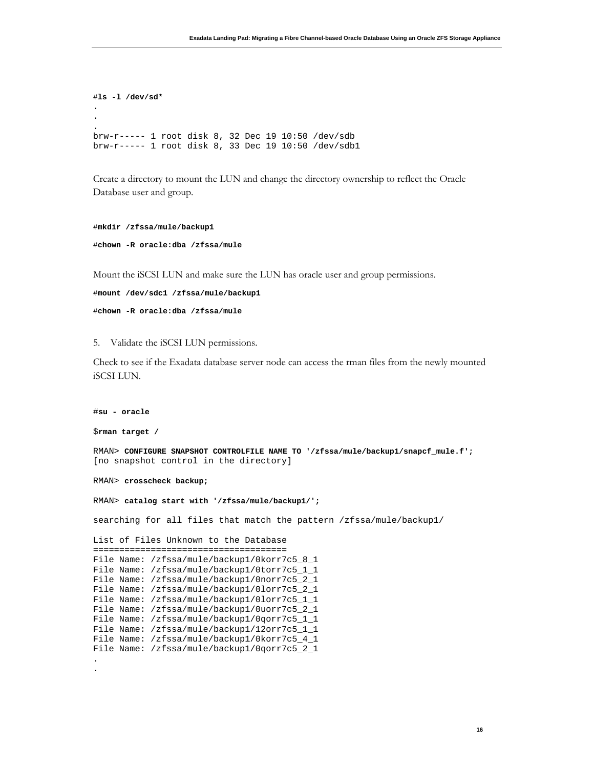```
#ls -l /dev/sd*
.
.
.
brw-r----- 1 root disk 8, 32 Dec 19 10:50 /dev/sdb
brw-r----- 1 root disk 8, 33 Dec 19 10:50 /dev/sdb1
```
Create a directory to mount the LUN and change the directory ownership to reflect the Oracle Database user and group.

```
#mkdir /zfssa/mule/backup1
#chown -R oracle:dba /zfssa/mule
```
Mount the iSCSI LUN and make sure the LUN has oracle user and group permissions.

```
#mount /dev/sdc1 /zfssa/mule/backup1
#chown -R oracle:dba /zfssa/mule
```
5. Validate the iSCSI LUN permissions.

Check to see if the Exadata database server node can access the rman files from the newly mounted iSCSI LUN.

```
#su - oracle
$rman target /
RMAN> CONFIGURE SNAPSHOT CONTROLFILE NAME TO '/zfssa/mule/backup1/snapcf_mule.f';
[no snapshot control in the directory]
RMAN> crosscheck backup;
RMAN> catalog start with '/zfssa/mule/backup1/';
searching for all files that match the pattern /zfssa/mule/backup1/
List of Files Unknown to the Database
=====================================
File Name: /zfssa/mule/backup1/0korr7c5_8_1
File Name: /zfssa/mule/backup1/0torr7c5_1_1
File Name: /zfssa/mule/backup1/0norr7c5_2_1
File Name: /zfssa/mule/backup1/0lorr7c5_2_1
File Name: /zfssa/mule/backup1/0lorr7c5_1_1
File Name: /zfssa/mule/backup1/0uorr7c5_2_1
File Name: /zfssa/mule/backup1/0qorr7c5_1_1
File Name: /zfssa/mule/backup1/12orr7c5_1_1
File Name: /zfssa/mule/backup1/0korr7c5_4_1
File Name: /zfssa/mule/backup1/0qorr7c5_2_1
.
.
```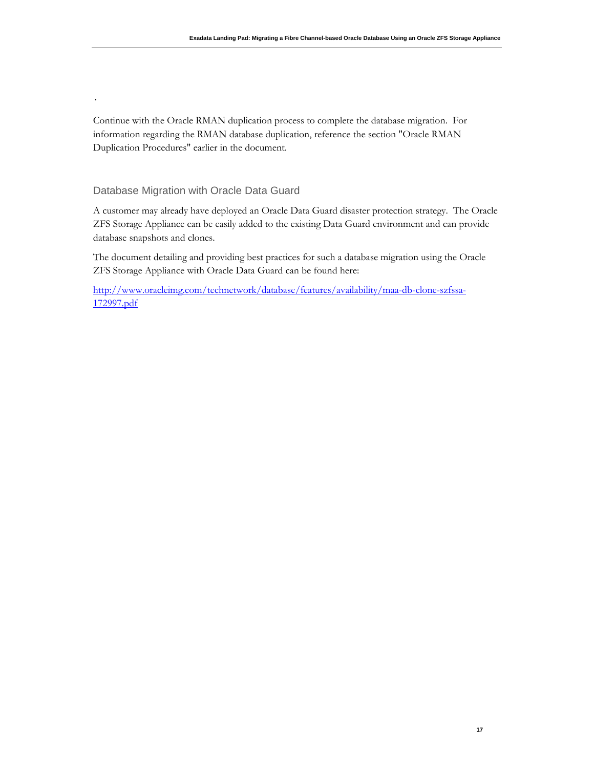Continue with the Oracle RMAN duplication process to complete the database migration. For information regarding the RMAN database duplication, reference the section "Oracle RMAN Duplication Procedures" earlier in the document.

# Database Migration with Oracle Data Guard

.

A customer may already have deployed an Oracle Data Guard disaster protection strategy. The Oracle ZFS Storage Appliance can be easily added to the existing Data Guard environment and can provide database snapshots and clones.

The document detailing and providing best practices for such a database migration using the Oracle ZFS Storage Appliance with Oracle Data Guard can be found here:

[http://www.oracleimg.com/technetwork/database/features/availability/maa-db-clone-szfssa-](http://www.oracleimg.com/technetwork/database/features/availability/maa-db-clone-szfssa-172997.pdf)[172997.pdf](http://www.oracleimg.com/technetwork/database/features/availability/maa-db-clone-szfssa-172997.pdf)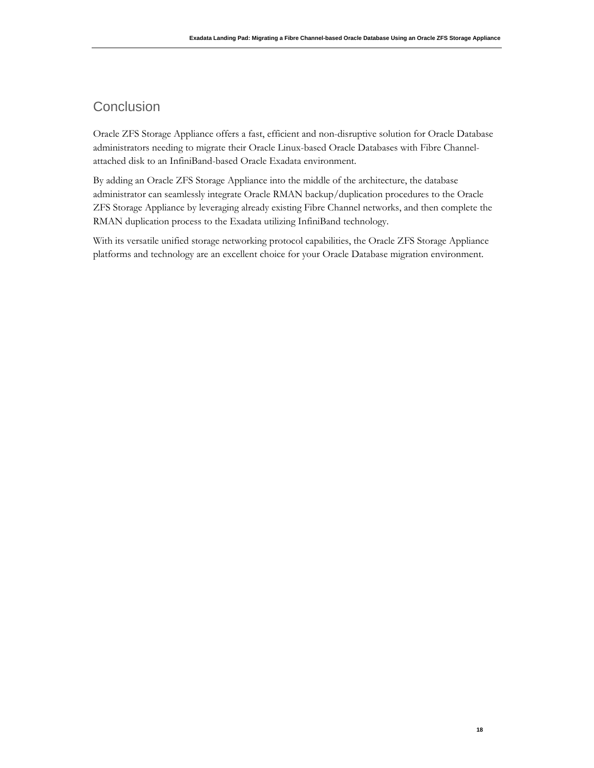# **Conclusion**

Oracle ZFS Storage Appliance offers a fast, efficient and non-disruptive solution for Oracle Database administrators needing to migrate their Oracle Linux-based Oracle Databases with Fibre Channelattached disk to an InfiniBand-based Oracle Exadata environment.

By adding an Oracle ZFS Storage Appliance into the middle of the architecture, the database administrator can seamlessly integrate Oracle RMAN backup/duplication procedures to the Oracle ZFS Storage Appliance by leveraging already existing Fibre Channel networks, and then complete the RMAN duplication process to the Exadata utilizing InfiniBand technology.

With its versatile unified storage networking protocol capabilities, the Oracle ZFS Storage Appliance platforms and technology are an excellent choice for your Oracle Database migration environment.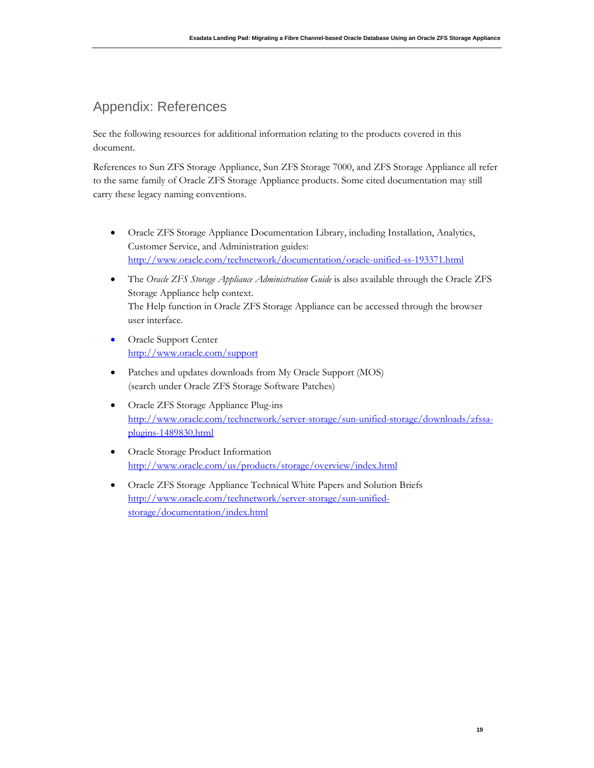# Appendix: References

See the following resources for additional information relating to the products covered in this document.

References to Sun ZFS Storage Appliance, Sun ZFS Storage 7000, and ZFS Storage Appliance all refer to the same family of Oracle ZFS Storage Appliance products. Some cited documentation may still carry these legacy naming conventions.

- Oracle ZFS Storage Appliance Documentation Library, including Installation, Analytics, Customer Service, and Administration guides: <http://www.oracle.com/technetwork/documentation/oracle-unified-ss-193371.html>
- The *Oracle ZFS Storage Appliance Administration Guide* is also available through the Oracle ZFS Storage Appliance help context. The Help function in Oracle ZFS Storage Appliance can be accessed through the browser user interface.
- Oracle Support Center <http://www.oracle.com/support>
- Patches and updates downloads from My Oracle Support (MOS) (search under Oracle ZFS Storage Software Patches)
- Oracle ZFS Storage Appliance Plug-ins [http://www.oracle.com/technetwork/server-storage/sun-unified-storage/downloads/zfssa](http://www.oracle.com/technetwork/server-storage/sun-unified-storage/downloads/zfssa-plugins-1489830.html)[plugins-1489830.html](http://www.oracle.com/technetwork/server-storage/sun-unified-storage/downloads/zfssa-plugins-1489830.html)
- Oracle Storage Product Information <http://www.oracle.com/us/products/storage/overview/index.html>
- Oracle ZFS Storage Appliance Technical White Papers and Solution Briefs [http://www.oracle.com/technetwork/server-storage/sun-unified](http://www.oracle.com/technetwork/server-storage/sun-unified-storage/documentation/index.html)[storage/documentation/index.html](http://www.oracle.com/technetwork/server-storage/sun-unified-storage/documentation/index.html)